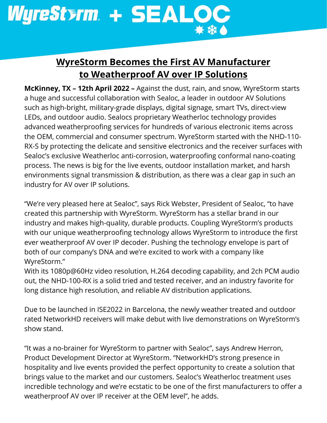

## **WyreStorm Becomes the First AV Manufacturer to Weatherproof AV over IP Solutions**

**McKinney, TX – 12th April 2022 –** Against the dust, rain, and snow, WyreStorm starts a huge and successful collaboration with Sealoc, a leader in outdoor AV Solutions such as high-bright, military-grade displays, digital signage, smart TVs, direct-view LEDs, and outdoor audio. Sealocs proprietary Weatherloc technology provides advanced weatherproofing services for hundreds of various electronic items across the OEM, commercial and consumer spectrum. WyreStorm started with the NHD-110- RX-S by protecting the delicate and sensitive electronics and the receiver surfaces with Sealoc's exclusive Weatherloc anti-corrosion, waterproofing conformal nano-coating process. The news is big for the live events, outdoor installation market, and harsh environments signal transmission & distribution, as there was a clear gap in such an industry for AV over IP solutions.

"We're very pleased here at Sealoc", says Rick Webster, President of Sealoc, "to have created this partnership with WyreStorm. WyreStorm has a stellar brand in our industry and makes high-quality, durable products. Coupling WyreStorm's products with our unique weatherproofing technology allows WyreStorm to introduce the first ever weatherproof AV over IP decoder. Pushing the technology envelope is part of both of our company's DNA and we're excited to work with a company like WyreStorm."

With its 1080p@60Hz video resolution, H.264 decoding capability, and 2ch PCM audio out, the NHD-100-RX is a solid tried and tested receiver, and an industry favorite for long distance high resolution, and reliable AV distribution applications.

Due to be launched in ISE2022 in Barcelona, the newly weather treated and outdoor rated NetworkHD receivers will make debut with live demonstrations on WyreStorm's show stand.

"It was a no-brainer for WyreStorm to partner with Sealoc", says Andrew Herron, Product Development Director at WyreStorm. "NetworkHD's strong presence in hospitality and live events provided the perfect opportunity to create a solution that brings value to the market and our customers. Sealoc's Weatherloc treatment uses incredible technology and we're ecstatic to be one of the first manufacturers to offer a weatherproof AV over IP receiver at the OEM level", he adds.